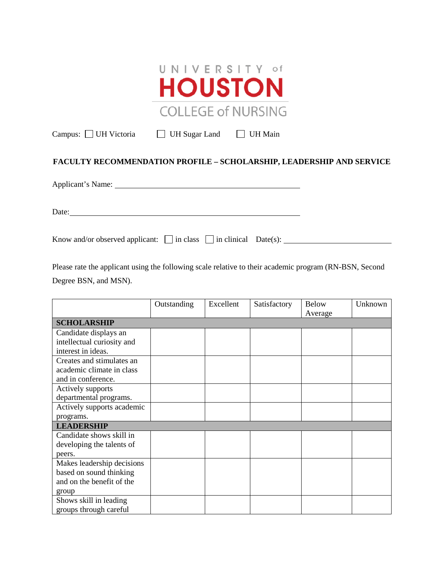

Campus: UH Victoria UH Sugar Land UH Main

## **FACULTY RECOMMENDATION PROFILE – SCHOLARSHIP, LEADERSHIP AND SERVICE**

Applicant's Name: 1986.

Date:

Know and/or observed applicant:  $\Box$  in class  $\Box$  in clinical Date(s):

Please rate the applicant using the following scale relative to their academic program (RN-BSN, Second Degree BSN, and MSN).

|                            | Outstanding | Excellent | Satisfactory | <b>Below</b> | Unknown |  |
|----------------------------|-------------|-----------|--------------|--------------|---------|--|
|                            |             |           |              | Average      |         |  |
| <b>SCHOLARSHIP</b>         |             |           |              |              |         |  |
| Candidate displays an      |             |           |              |              |         |  |
| intellectual curiosity and |             |           |              |              |         |  |
| interest in ideas.         |             |           |              |              |         |  |
| Creates and stimulates an  |             |           |              |              |         |  |
| academic climate in class  |             |           |              |              |         |  |
| and in conference.         |             |           |              |              |         |  |
| Actively supports          |             |           |              |              |         |  |
| departmental programs.     |             |           |              |              |         |  |
| Actively supports academic |             |           |              |              |         |  |
| programs.                  |             |           |              |              |         |  |
| <b>LEADERSHIP</b>          |             |           |              |              |         |  |
| Candidate shows skill in   |             |           |              |              |         |  |
| developing the talents of  |             |           |              |              |         |  |
| peers.                     |             |           |              |              |         |  |
| Makes leadership decisions |             |           |              |              |         |  |
| based on sound thinking    |             |           |              |              |         |  |
| and on the benefit of the  |             |           |              |              |         |  |
| group                      |             |           |              |              |         |  |
| Shows skill in leading     |             |           |              |              |         |  |
| groups through careful     |             |           |              |              |         |  |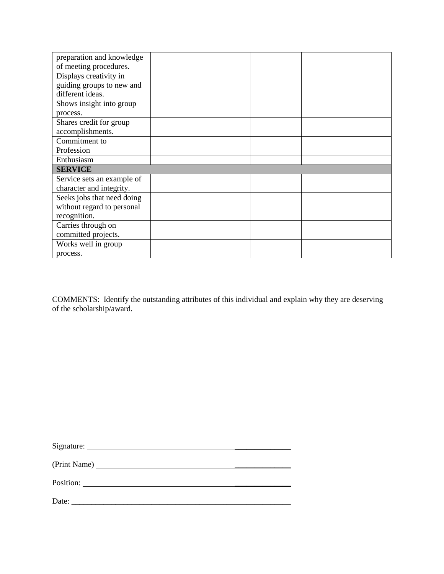| preparation and knowledge  |  |  |  |
|----------------------------|--|--|--|
| of meeting procedures.     |  |  |  |
| Displays creativity in     |  |  |  |
| guiding groups to new and  |  |  |  |
| different ideas.           |  |  |  |
| Shows insight into group   |  |  |  |
| process.                   |  |  |  |
| Shares credit for group    |  |  |  |
| accomplishments.           |  |  |  |
| Commitment to              |  |  |  |
| Profession                 |  |  |  |
| Enthusiasm                 |  |  |  |
| <b>SERVICE</b>             |  |  |  |
| Service sets an example of |  |  |  |
| character and integrity.   |  |  |  |
| Seeks jobs that need doing |  |  |  |
| without regard to personal |  |  |  |
| recognition.               |  |  |  |
| Carries through on         |  |  |  |
| committed projects.        |  |  |  |
| Works well in group        |  |  |  |
| process.                   |  |  |  |

COMMENTS: Identify the outstanding attributes of this individual and explain why they are deserving of the scholarship/award.

| Date:<br>the contract of the contract of the contract of the contract of the contract of |  |
|------------------------------------------------------------------------------------------|--|